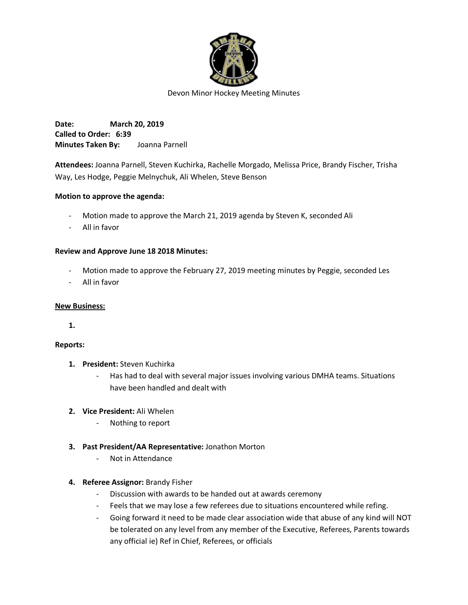

**Date: March 20, 2019 Called to Order: 6:39 Minutes Taken By:** Joanna Parnell

**Attendees:** Joanna Parnell, Steven Kuchirka, Rachelle Morgado, Melissa Price, Brandy Fischer, Trisha Way, Les Hodge, Peggie Melnychuk, Ali Whelen, Steve Benson

## **Motion to approve the agenda:**

- Motion made to approve the March 21, 2019 agenda by Steven K, seconded Ali
- All in favor

## **Review and Approve June 18 2018 Minutes:**

- Motion made to approve the February 27, 2019 meeting minutes by Peggie, seconded Les
- All in favor

### **New Business:**

**1.**

## **Reports:**

- **1. President:** Steven Kuchirka
	- Has had to deal with several major issues involving various DMHA teams. Situations have been handled and dealt with
- **2. Vice President:** Ali Whelen
	- Nothing to report
- **3. Past President/AA Representative:** Jonathon Morton
	- Not in Attendance

## **4. Referee Assignor:** Brandy Fisher

- Discussion with awards to be handed out at awards ceremony
- Feels that we may lose a few referees due to situations encountered while refing.
- Going forward it need to be made clear association wide that abuse of any kind will NOT be tolerated on any level from any member of the Executive, Referees, Parents towards any official ie) Ref in Chief, Referees, or officials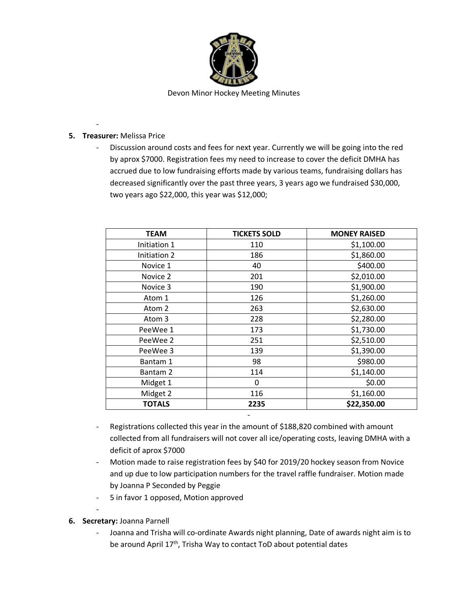

# **5. Treasurer:** Melissa Price

-

- Discussion around costs and fees for next year. Currently we will be going into the red by aprox \$7000. Registration fees my need to increase to cover the deficit DMHA has accrued due to low fundraising efforts made by various teams, fundraising dollars has decreased significantly over the past three years, 3 years ago we fundraised \$30,000, two years ago \$22,000, this year was \$12,000;

| <b>TEAM</b>   | <b>TICKETS SOLD</b> | <b>MONEY RAISED</b> |
|---------------|---------------------|---------------------|
| Initiation 1  | 110                 | \$1,100.00          |
| Initiation 2  | 186                 | \$1,860.00          |
| Novice 1      | 40                  | \$400.00            |
| Novice 2      | 201                 | \$2,010.00          |
| Novice 3      | 190                 | \$1,900.00          |
| Atom 1        | 126                 | \$1,260.00          |
| Atom 2        | 263                 | \$2,630.00          |
| Atom 3        | 228                 | \$2,280.00          |
| PeeWee 1      | 173                 | \$1,730.00          |
| PeeWee 2      | 251                 | \$2,510.00          |
| PeeWee 3      | 139                 | \$1,390.00          |
| Bantam 1      | 98                  | \$980.00            |
| Bantam 2      | 114                 | \$1,140.00          |
| Midget 1      | 0                   | \$0.00              |
| Midget 2      | 116                 | \$1,160.00          |
| <b>TOTALS</b> | 2235                | \$22,350.00         |

- Registrations collected this year in the amount of \$188,820 combined with amount collected from all fundraisers will not cover all ice/operating costs, leaving DMHA with a deficit of aprox \$7000

-

- Motion made to raise registration fees by \$40 for 2019/20 hockey season from Novice and up due to low participation numbers for the travel raffle fundraiser. Motion made by Joanna P Seconded by Peggie
- 5 in favor 1 opposed, Motion approved
- **6. Secretary:** Joanna Parnell

-

- Joanna and Trisha will co-ordinate Awards night planning, Date of awards night aim is to be around April 17<sup>th</sup>, Trisha Way to contact ToD about potential dates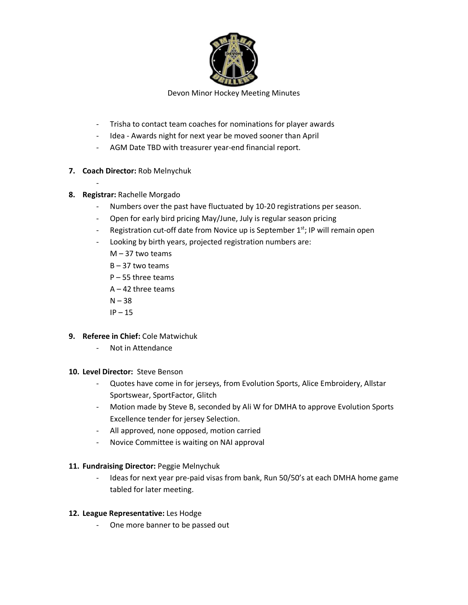

- Trisha to contact team coaches for nominations for player awards
- Idea Awards night for next year be moved sooner than April
- AGM Date TBD with treasurer year-end financial report.
- **7. Coach Director:** Rob Melnychuk
- **8. Registrar:** Rachelle Morgado

-

- Numbers over the past have fluctuated by 10-20 registrations per season.
- Open for early bird pricing May/June, July is regular season pricing
- Registration cut-off date from Novice up is September  $1<sup>st</sup>$ ; IP will remain open
- Looking by birth years, projected registration numbers are:
	- M 37 two teams
	- B 37 two teams
	- P 55 three teams
	- $A 42$  three teams
	- $N 38$
	- $IP 15$
- **9. Referee in Chief:** Cole Matwichuk
	- Not in Attendance
- **10. Level Director:** Steve Benson
	- Quotes have come in for jerseys, from Evolution Sports, Alice Embroidery, Allstar Sportswear, SportFactor, Glitch
	- Motion made by Steve B, seconded by Ali W for DMHA to approve Evolution Sports Excellence tender for jersey Selection.
	- All approved, none opposed, motion carried
	- Novice Committee is waiting on NAI approval

## **11. Fundraising Director:** Peggie Melnychuk

- Ideas for next year pre-paid visas from bank, Run 50/50's at each DMHA home game tabled for later meeting.

## **12. League Representative:** Les Hodge

- One more banner to be passed out